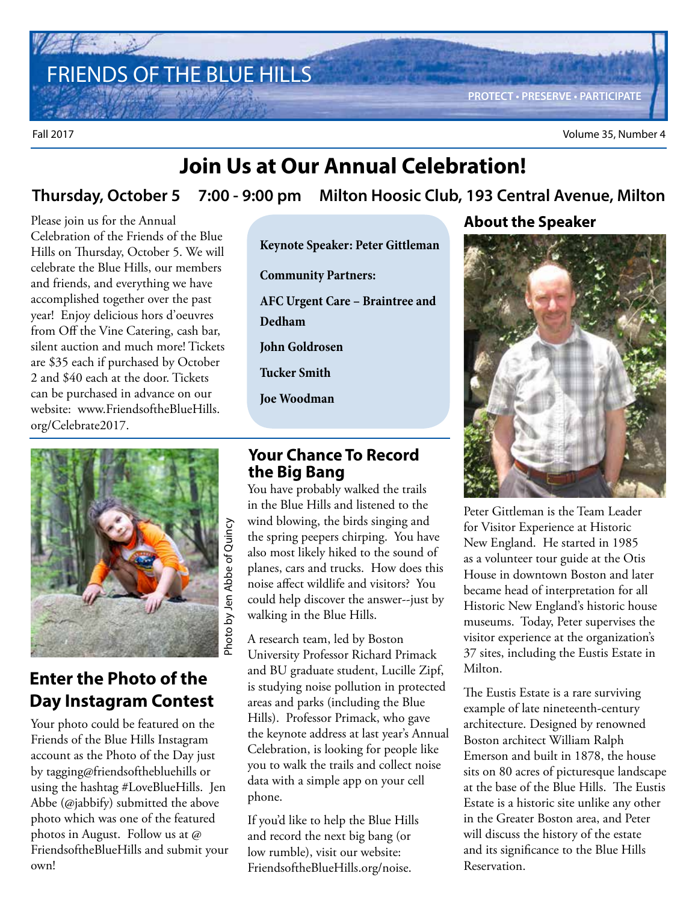FRIENDS OF THE BLUE HILLS **PROTECT • PRESERVE • PARTICIPATE**

Fall 2017 Volume 35, Number 4

## **Join Us at Our Annual Celebration!**

### **Thursday, October 5 7:00 - 9:00 pm Milton Hoosic Club, 193 Central Avenue, Milton**

Please join us for the Annual Celebration of the Friends of the Blue Hills on Thursday, October 5. We will celebrate the Blue Hills, our members and friends, and everything we have accomplished together over the past year! Enjoy delicious hors d'oeuvres from Off the Vine Catering, cash bar, silent auction and much more! Tickets are \$35 each if purchased by October 2 and \$40 each at the door. Tickets can be purchased in advance on our website: www.FriendsoftheBlueHills. org/Celebrate2017.



### **Enter the Photo of the Day Instagram Contest**

Your photo could be featured on the Friends of the Blue Hills Instagram account as the Photo of the Day just by tagging@friendsofthebluehills or using the hashtag #LoveBlueHills. Jen Abbe (@jabbify) submitted the above photo which was one of the featured photos in August. Follow us at @ FriendsoftheBlueHills and submit your own!

**Keynote Speaker: Peter Gittleman** 

**Community Partners: AFC Urgent Care – Braintree and Dedham John Goldrosen**

**Tucker Smith**

**Joe Woodman**

#### **Your Chance To Record the Big Bang**

You have probably walked the trails in the Blue Hills and listened to the wind blowing, the birds singing and the spring peepers chirping. You have also most likely hiked to the sound of planes, cars and trucks. How does this noise affect wildlife and visitors? You could help discover the answer--just by walking in the Blue Hills.

A research team, led by Boston University Professor Richard Primack and BU graduate student, Lucille Zipf, is studying noise pollution in protected areas and parks (including the Blue Hills). Professor Primack, who gave the keynote address at last year's Annual Celebration, is looking for people like you to walk the trails and collect noise data with a simple app on your cell phone.

If you'd like to help the Blue Hills and record the next big bang (or low rumble), visit our website: FriendsoftheBlueHills.org/noise.

#### **About the Speaker**



Peter Gittleman is the Team Leader for Visitor Experience at Historic New England. He started in 1985 as a volunteer tour guide at the Otis House in downtown Boston and later became head of interpretation for all Historic New England's historic house museums. Today, Peter supervises the visitor experience at the organization's 37 sites, including the Eustis Estate in Milton.

The Eustis Estate is a rare surviving example of late nineteenth-century architecture. Designed by renowned Boston architect William Ralph Emerson and built in 1878, the house sits on 80 acres of picturesque landscape at the base of the Blue Hills. The Eustis Estate is a historic site unlike any other in the Greater Boston area, and Peter will discuss the history of the estate and its significance to the Blue Hills Reservation.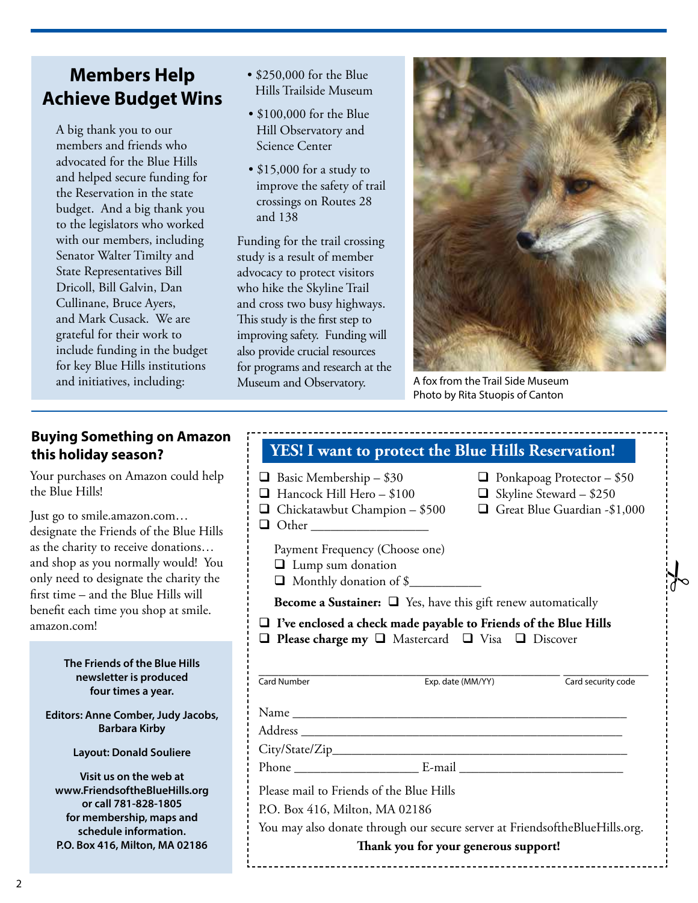### **Members Help Achieve Budget Wins**

A big thank you to our members and friends who advocated for the Blue Hills and helped secure funding for the Reservation in the state budget. And a big thank you to the legislators who worked with our members, including Senator Walter Timilty and State Representatives Bill Dricoll, Bill Galvin, Dan Cullinane, Bruce Ayers, and Mark Cusack. We are grateful for their work to include funding in the budget for key Blue Hills institutions and initiatives, including:

- \$250,000 for the Blue Hills Trailside Museum
- \$100,000 for the Blue Hill Observatory and Science Center
- \$15,000 for a study to improve the safety of trail crossings on Routes 28 and 138

Funding for the trail crossing study is a result of member advocacy to protect visitors who hike the Skyline Trail and cross two busy highways. This study is the first step to improving safety. Funding will also provide crucial resources for programs and research at the Museum and Observatory.



 $\frac{1}{6}$ 

A fox from the Trail Side Museum Photo by Rita Stuopis of Canton

### **Buying Something on Amazon this holiday season?**

Your purchases on Amazon could help the Blue Hills!

Just go to smile.amazon.com… designate the Friends of the Blue Hills as the charity to receive donations… and shop as you normally would! You only need to designate the charity the first time – and the Blue Hills will benefit each time you shop at smile. amazon.com!

#### **The Friends of the Blue Hills newsletter is produced four times a year.**

**Editors: Anne Comber, Judy Jacobs, Barbara Kirby**

**Layout: Donald Souliere**

**Visit us on the web at www.FriendsoftheBlueHills.org or call 781-828-1805 for membership, maps and schedule information. P.O. Box 416, Milton, MA 02186**

| YES! I want to protect the Blue Hills Reservation!                                                                                                                                                                             |                                                                           |                   |                                                                                                     |
|--------------------------------------------------------------------------------------------------------------------------------------------------------------------------------------------------------------------------------|---------------------------------------------------------------------------|-------------------|-----------------------------------------------------------------------------------------------------|
| $\Box$ Basic Membership – \$30<br>Hancock Hill Hero - \$100<br>$\Box$ Chickatawbut Champion – \$500<br>$\Box$ Other                                                                                                            |                                                                           |                   | $\Box$ Ponkapoag Protector – \$50<br>$\Box$ Skyline Steward - \$250<br>Great Blue Guardian -\$1,000 |
| Payment Frequency (Choose one)<br><b>Q</b> Lump sum donation<br>Monthly donation of \$                                                                                                                                         |                                                                           |                   |                                                                                                     |
|                                                                                                                                                                                                                                | <b>Become a Sustainer:</b> $\Box$ Yes, have this gift renew automatically |                   |                                                                                                     |
| $\Box$ I've enclosed a check made payable to Friends of the Blue Hills<br>□ Please charge my □ Mastercard □ Visa □ Discover                                                                                                    |                                                                           |                   |                                                                                                     |
| <b>Card Number</b>                                                                                                                                                                                                             |                                                                           | Exp. date (MM/YY) | Card security code                                                                                  |
|                                                                                                                                                                                                                                |                                                                           |                   |                                                                                                     |
|                                                                                                                                                                                                                                |                                                                           |                   |                                                                                                     |
|                                                                                                                                                                                                                                |                                                                           |                   |                                                                                                     |
| Phone E-mail E-mail E-mail E-mail E-mail E-mail E-mail E-mail E-mail E-mail E-mail E-mail E-mail E-mail E-mail E-mail E-mail E-mail E-mail E-mail E-mail E-mail E-mail E-mail E-mail E-mail E-mail E-mail E-mail E-mail E-mail |                                                                           |                   |                                                                                                     |
| Please mail to Friends of the Blue Hills                                                                                                                                                                                       |                                                                           |                   |                                                                                                     |
| P.O. Box 416, Milton, MA 02186                                                                                                                                                                                                 |                                                                           |                   |                                                                                                     |
| You may also donate through our secure server at FriendsoftheBlueHills.org.                                                                                                                                                    |                                                                           |                   |                                                                                                     |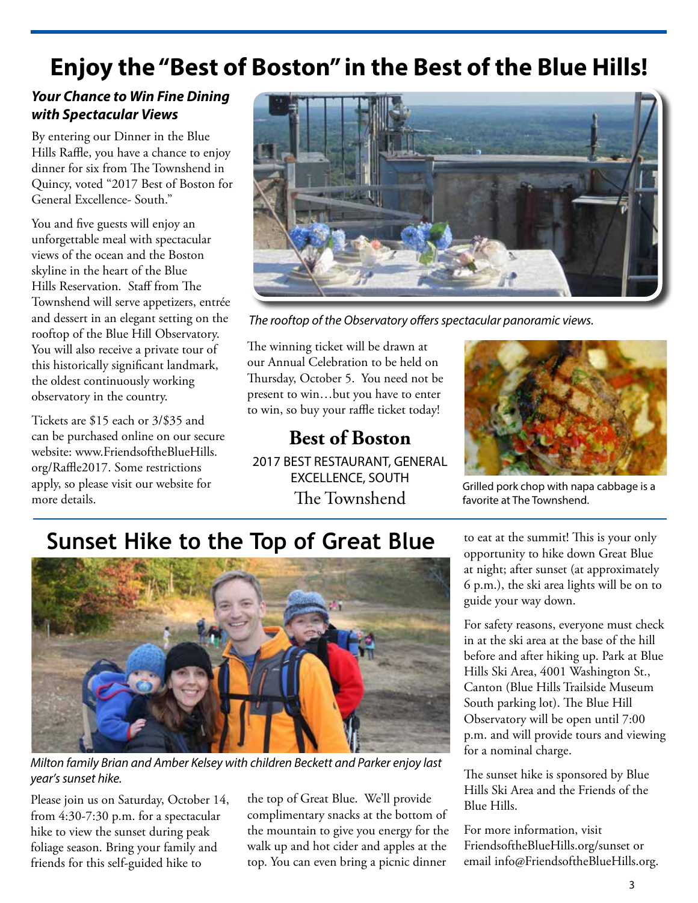## **Enjoy the "Best of Boston" in the Best of the Blue Hills!**

#### **Your Chance to Win Fine Dining with Spectacular Views**

By entering our Dinner in the Blue Hills Raffle, you have a chance to enjoy dinner for six from The Townshend in Quincy, voted "2017 Best of Boston for General Excellence- South."

You and five guests will enjoy an unforgettable meal with spectacular views of the ocean and the Boston skyline in the heart of the Blue Hills Reservation. Staff from The Townshend will serve appetizers, entrée and dessert in an elegant setting on the rooftop of the Blue Hill Observatory. You will also receive a private tour of this historically significant landmark, the oldest continuously working observatory in the country.

Tickets are \$15 each or 3/\$35 and can be purchased online on our secure website: www.FriendsoftheBlueHills. org/Raffle2017. Some restrictions apply, so please visit our website for more details.



The rooftop of the Observatory offers spectacular panoramic views.

The winning ticket will be drawn at our Annual Celebration to be held on Thursday, October 5. You need not be present to win…but you have to enter to win, so buy your raffle ticket today!

**Best of Boston** 2017 BEST RESTAURANT, GENERAL EXCELLENCE, SOUTH The Townshend



Grilled pork chop with napa cabbage is a favorite at The Townshend.

## **Sunset Hike to the Top of Great Blue**



Milton family Brian and Amber Kelsey with children Beckett and Parker enjoy last year's sunset hike.

Please join us on Saturday, October 14, from 4:30-7:30 p.m. for a spectacular hike to view the sunset during peak foliage season. Bring your family and friends for this self-guided hike to

the top of Great Blue. We'll provide complimentary snacks at the bottom of the mountain to give you energy for the walk up and hot cider and apples at the top. You can even bring a picnic dinner

to eat at the summit! This is your only opportunity to hike down Great Blue at night; after sunset (at approximately 6 p.m.), the ski area lights will be on to guide your way down.

For safety reasons, everyone must check in at the ski area at the base of the hill before and after hiking up. Park at Blue Hills Ski Area, 4001 Washington St., Canton (Blue Hills Trailside Museum South parking lot). The Blue Hill Observatory will be open until 7:00 p.m. and will provide tours and viewing for a nominal charge.

The sunset hike is sponsored by Blue Hills Ski Area and the Friends of the Blue Hills.

For more information, visit FriendsoftheBlueHills.org/sunset or email info@FriendsoftheBlueHills.org.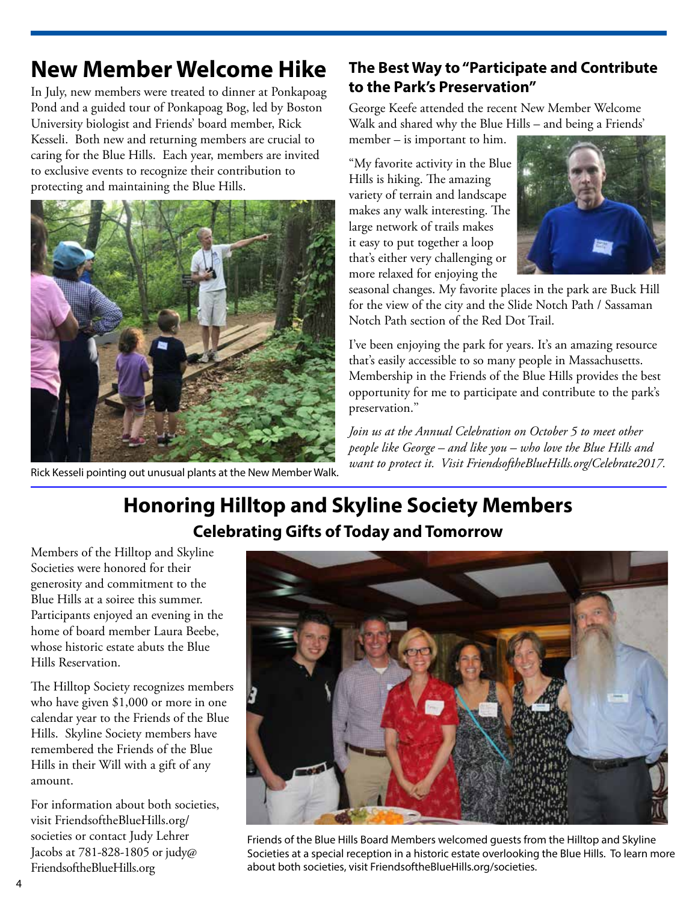## **New Member Welcome Hike**

In July, new members were treated to dinner at Ponkapoag Pond and a guided tour of Ponkapoag Bog, led by Boston University biologist and Friends' board member, Rick Kesseli. Both new and returning members are crucial to caring for the Blue Hills. Each year, members are invited to exclusive events to recognize their contribution to protecting and maintaining the Blue Hills.



Rick Kesseli pointing out unusual plants at the New Member Walk.

### **The Best Way to "Participate and Contribute to the Park's Preservation"**

George Keefe attended the recent New Member Welcome Walk and shared why the Blue Hills – and being a Friends'

member – is important to him.

"My favorite activity in the Blue Hills is hiking. The amazing variety of terrain and landscape makes any walk interesting. The large network of trails makes it easy to put together a loop that's either very challenging or more relaxed for enjoying the



seasonal changes. My favorite places in the park are Buck Hill for the view of the city and the Slide Notch Path / Sassaman Notch Path section of the Red Dot Trail.

I've been enjoying the park for years. It's an amazing resource that's easily accessible to so many people in Massachusetts. Membership in the Friends of the Blue Hills provides the best opportunity for me to participate and contribute to the park's preservation.''

*Join us at the Annual Celebration on October 5 to meet other people like George – and like you – who love the Blue Hills and want to protect it. Visit FriendsoftheBlueHills.org/Celebrate2017.*

## **Honoring Hilltop and Skyline Society Members Celebrating Gifts of Today and Tomorrow**

Members of the Hilltop and Skyline Societies were honored for their generosity and commitment to the Blue Hills at a soiree this summer. Participants enjoyed an evening in the home of board member Laura Beebe, whose historic estate abuts the Blue Hills Reservation.

The Hilltop Society recognizes members who have given \$1,000 or more in one calendar year to the Friends of the Blue Hills. Skyline Society members have remembered the Friends of the Blue Hills in their Will with a gift of any amount.

For information about both societies, visit FriendsoftheBlueHills.org/ societies or contact Judy Lehrer Jacobs at 781-828-1805 or judy@ FriendsoftheBlueHills.org



Friends of the Blue Hills Board Members welcomed guests from the Hilltop and Skyline Societies at a special reception in a historic estate overlooking the Blue Hills. To learn more about both societies, visit FriendsoftheBlueHills.org/societies.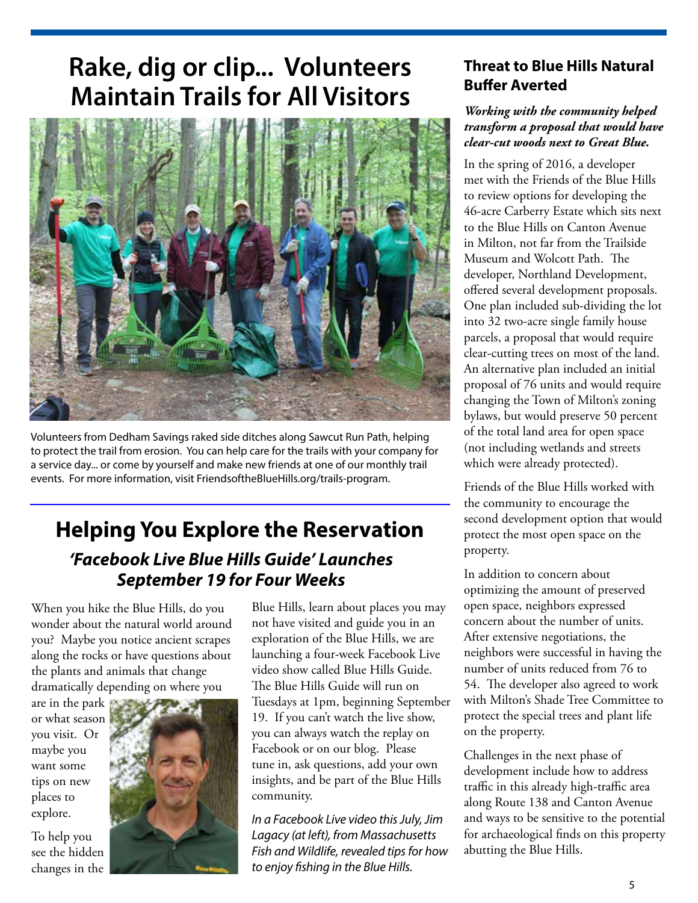# **Rake, dig or clip... Volunteers Maintain Trails for All Visitors**



Volunteers from Dedham Savings raked side ditches along Sawcut Run Path, helping to protect the trail from erosion. You can help care for the trails with your company for a service day... or come by yourself and make new friends at one of our monthly trail events. For more information, visit FriendsoftheBlueHills.org/trails-program.

## **Helping You Explore the Reservation 'Facebook Live Blue Hills Guide' Launches September 19 for Four Weeks**

When you hike the Blue Hills, do you wonder about the natural world around you? Maybe you notice ancient scrapes along the rocks or have questions about the plants and animals that change dramatically depending on where you

are in the park or what season you visit. Or maybe you want some tips on new places to explore.

To help you see the hidden changes in the



Blue Hills, learn about places you may not have visited and guide you in an exploration of the Blue Hills, we are launching a four-week Facebook Live video show called Blue Hills Guide. The Blue Hills Guide will run on Tuesdays at 1pm, beginning September 19. If you can't watch the live show, you can always watch the replay on Facebook or on our blog. Please tune in, ask questions, add your own insights, and be part of the Blue Hills community.

In a Facebook Live video this July, Jim Lagacy (at left), from Massachusetts Fish and Wildlife, revealed tips for how to enjoy fishing in the Blue Hills.

#### **Threat to Blue Hills Natural Buffer Averted**

#### *Working with the community helped transform a proposal that would have clear-cut woods next to Great Blue.*

In the spring of 2016, a developer met with the Friends of the Blue Hills to review options for developing the 46-acre Carberry Estate which sits next to the Blue Hills on Canton Avenue in Milton, not far from the Trailside Museum and Wolcott Path. The developer, Northland Development, offered several development proposals. One plan included sub-dividing the lot into 32 two-acre single family house parcels, a proposal that would require clear-cutting trees on most of the land. An alternative plan included an initial proposal of 76 units and would require changing the Town of Milton's zoning bylaws, but would preserve 50 percent of the total land area for open space (not including wetlands and streets which were already protected).

Friends of the Blue Hills worked with the community to encourage the second development option that would protect the most open space on the property.

In addition to concern about optimizing the amount of preserved open space, neighbors expressed concern about the number of units. After extensive negotiations, the neighbors were successful in having the number of units reduced from 76 to 54. The developer also agreed to work with Milton's Shade Tree Committee to protect the special trees and plant life on the property.

Challenges in the next phase of development include how to address traffic in this already high-traffic area along Route 138 and Canton Avenue and ways to be sensitive to the potential for archaeological finds on this property abutting the Blue Hills.